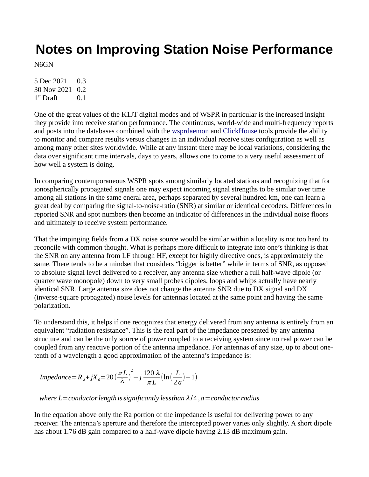# **Notes on Improving Station Noise Performance**

N6GN

5 Dec 2021 0.3 30 Nov 2021 0.2  $1<sup>st</sup>$  Draft  $0.1$ 

One of the great values of the K1JT digital modes and of WSPR in particular is the increased insight they provide into receive station performance. The continuous, world-wide and multi-frequency reports and posts into the databases combined with the [wsprdaemon](http://wsprdaemon.org/) and [ClickHouse](http://wspr.rocks/) tools provide the ability to monitor and compare results versus changes in an individual receive sites configuration as well as among many other sites worldwide. While at any instant there may be local variations, considering the data over significant time intervals, days to years, allows one to come to a very useful assessment of how well a system is doing.

In comparing contemporaneous WSPR spots among similarly located stations and recognizing that for ionospherically propagated signals one may expect incoming signal strengths to be similar over time among all stations in the same eneral area, perhaps separated by several hundred km, one can learn a great deal by comparing the signal-to-noise-ratio (SNR) at similar or identical decoders. Differences in reported SNR and spot numbers then become an indicator of differences in the individual noise floors and ultimately to receive system performance.

That the impinging fields from a DX noise source would be similar within a locality is not too hard to reconcile with common thought. What is perhaps more difficult to integrate into one's thinking is that the SNR on any antenna from LF through HF, except for highly directive ones, is approximately the same. There tends to be a mindset that considers "bigger is better" while in terms of SNR, as opposed to absolute signal level delivered to a receiver, any antenna size whether a full half-wave dipole (or quarter wave monopole) down to very small probes dipoles, loops and whips actually have nearly identical SNR. Large antenna size does not change the antenna SNR due to DX signal and DX (inverse-square propagated) noise levels for antennas located at the same point and having the same polarization.

To understand this, it helps if one recognizes that energy delivered from any antenna is entirely from an equivalent "radiation resistance". This is the real part of the impedance presented by any antenna structure and can be the only source of power coupled to a receiving system since no real power can be coupled from any reactive portion of the antenna impedance. For antennas of any size, up to about onetenth of a wavelength a good approximation of the antenna's impedance is:

$$
Impedance = R_a + jX_a = 20 \left(\frac{\pi L}{\lambda}\right)^2 - j\frac{120 \lambda}{\pi L} \left(\ln\left(\frac{L}{2a}\right) - 1\right)
$$

*where*  $L =$  *conductor length is significantly lessthan*  $\lambda/4$ ,  $a =$  *conductor radius* 

In the equation above only the Ra portion of the impedance is useful for delivering power to any receiver. The antenna's aperture and therefore the intercepted power varies only slightly. A short dipole has about 1.76 dB gain compared to a half-wave dipole having 2.13 dB maximum gain.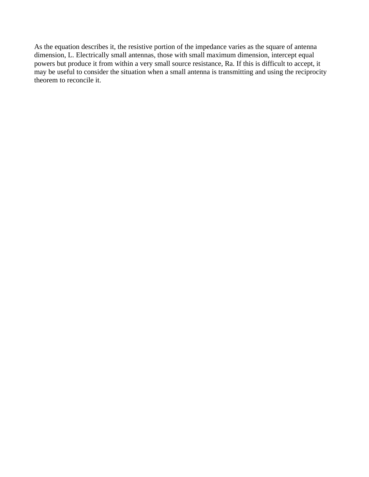As the equation describes it, the resistive portion of the impedance varies as the square of antenna dimension, L. Electrically small antennas, those with small maximum dimension, intercept equal powers but produce it from within a very small source resistance, Ra. If this is difficult to accept, it may be useful to consider the situation when a small antenna is transmitting and using the reciprocity theorem to reconcile it.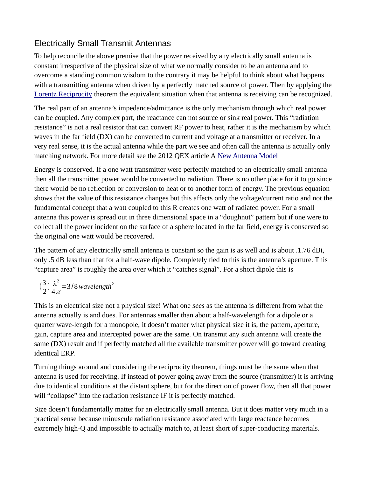## Electrically Small Transmit Antennas

To help reconcile the above premise that the power received by any electrically small antenna is constant irrespective of the physical size of what we normally consider to be an antenna and to overcome a standing common wisdom to the contrary it may be helpful to think about what happens with a transmitting antenna when driven by a perfectly matched source of power. Then by applying the Lorentz Reciprocity theorem the equivalent situation when that antenna is receiving can be recognized.

The real part of an antenna's impedance/admittance is the only mechanism through which real power can be coupled. Any complex part, the reactance can not source or sink real power. This "radiation resistance" is not a real resistor that can convert RF power to heat, rather it is the mechanism by which waves in the far field (DX) can be converted to current and voltage at a transmitter or receiver. In a very real sense, it is the actual antenna while the part we see and often call the antenna is actually only matching network. For more detail see the 2012 QEX article [A New Antenna Model](http://www.sonic.net/~n6gn/Elmore3.pdf)

Energy is conserved. If a one watt transmitter were perfectly matched to an electrically small antenna then all the transmitter power would be converted to radiation. There is no other place for it to go since there would be no reflection or conversion to heat or to another form of energy. The previous equation shows that the value of this resistance changes but this affects only the voltage/current ratio and not the fundamental concept that a watt coupled to this R creates one watt of radiated power. For a small antenna this power is spread out in three dimensional space in a "doughnut" pattern but if one were to collect all the power incident on the surface of a sphere located in the far field, energy is conserved so the original one watt would be recovered.

The pattern of any electrically small antenna is constant so the gain is as well and is about .1.76 dBi, only .5 dB less than that for a half-wave dipole. Completely tied to this is the antenna's aperture. This "capture area" is roughly the area over which it "catches signal". For a short dipole this is

$$
\left(\frac{3}{2}\right) \frac{\lambda^2}{4\pi} = 3/8 \text{ wavelength}^2
$$

This is an electrical size not a physical size! What one *sees* as the antenna is different from what the antenna actually is and does. For antennas smaller than about a half-wavelength for a dipole or a quarter wave-length for a monopole, it doesn't matter what physical size it is, the pattern, aperture, gain, capture area and intercepted power are the same. On transmit any such antenna will create the same (DX) result and if perfectly matched all the available transmitter power will go toward creating identical ERP.

Turning things around and considering the reciprocity theorem, things must be the same when that antenna is used for receiving. If instead of power going away from the source (transmitter) it is arriving due to identical conditions at the distant sphere, but for the direction of power flow, then all that power will "collapse" into the radiation resistance IF it is perfectly matched.

Size doesn't fundamentally matter for an electrically small antenna. But it does matter very much in a practical sense because minuscule radiation resistance associated with large reactance becomes extremely high-Q and impossible to actually match to, at least short of super-conducting materials.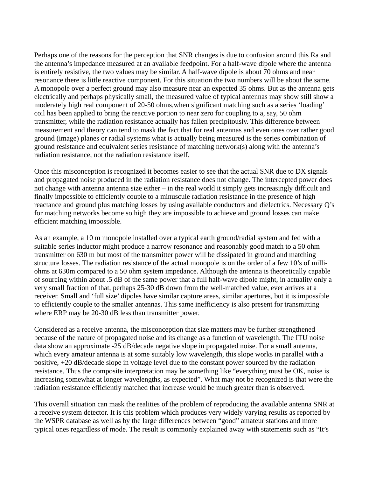Perhaps one of the reasons for the perception that SNR changes is due to confusion around this Ra and the antenna's impedance measured at an available feedpoint. For a half-wave dipole where the antenna is entirely resistive, the two values may be similar. A half-wave dipole is about 70 ohms and near resonance there is little reactive component. For this situation the two numbers will be about the same. A monopole over a perfect ground may also measure near an expected 35 ohms. But as the antenna gets electrically and perhaps physically small, the measured value of typical antennas may show still show a moderately high real component of 20-50 ohms,when significant matching such as a series 'loading' coil has been applied to bring the reactive portion to near zero for coupling to a, say, 50 ohm transmitter, while the radiation resistance actually has fallen precipitously. This difference between measurement and theory can tend to mask the fact that for real antennas and even ones over rather good ground (image) planes or radial systems what is actually being measured is the series combination of ground resistance and equivalent series resistance of matching network(s) along with the antenna's radiation resistance, not the radiation resistance itself.

Once this misconception is recognized it becomes easier to see that the actual SNR due to DX signals and propagated noise produced in the radiation resistance does not change. The intercepted power does not change with antenna antenna size either – in the real world it simply gets increasingly difficult and finally impossible to efficiently couple to a minuscule radiation resistance in the presence of high reactance and ground plus matching losses by using available conductors and dielectrics. Necessary Q's for matching networks become so high they are impossible to achieve and ground losses can make efficient matching impossible.

As an example, a 10 m monopole installed over a typical earth ground/radial system and fed with a suitable series inductor might produce a narrow resonance and reasonably good match to a 50 ohm transmitter on 630 m but most of the transmitter power will be dissipated in ground and matching structure losses. The radiation resistance of the actual monopole is on the order of a few 10's of milliohms at 630m compared to a 50 ohm system impedance. Although the antenna is theoretically capable of sourcing within about .5 dB of the same power that a full half-wave dipole might, in actuality only a very small fraction of that, perhaps 25-30 dB down from the well-matched value, ever arrives at a receiver. Small and 'full size' dipoles have similar capture areas, similar apertures, but it is impossible to efficiently couple to the smaller antennas. This same inefficiency is also present for transmitting where ERP may be 20-30 dB less than transmitter power.

Considered as a receive antenna, the misconception that size matters may be further strengthened because of the nature of propagated noise and its change as a function of wavelength. The ITU noise data show an approximate -25 dB/decade negative slope in propagated noise. For a small antenna, which every amateur antenna is at some suitably low wavelength, this slope works in parallel with a positive, +20 dB/decade slope in voltage level due to the constant power sourced by the radiation resistance. Thus the composite interpretation may be something like "everything must be OK, noise is increasing somewhat at longer wavelengths, as expected". What may not be recognized is that were the radiation resistance efficiently matched that increase would be much greater than is observed.

This overall situation can mask the realities of the problem of reproducing the available antenna SNR at a receive system detector. It is this problem which produces very widely varying results as reported by the WSPR database as well as by the large differences between "good" amateur stations and more typical ones regardless of mode. The result is commonly explained away with statements such as "It's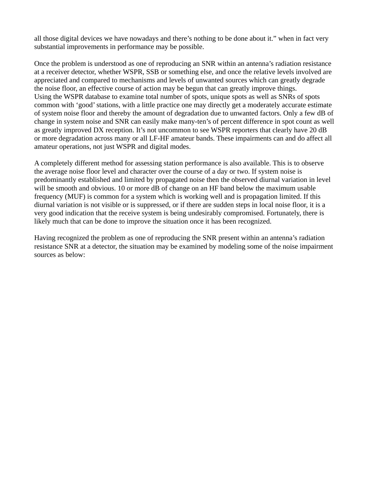all those digital devices we have nowadays and there's nothing to be done about it." when in fact very substantial improvements in performance may be possible.

Once the problem is understood as one of reproducing an SNR within an antenna's radiation resistance at a receiver detector, whether WSPR, SSB or something else, and once the relative levels involved are appreciated and compared to mechanisms and levels of unwanted sources which can greatly degrade the noise floor, an effective course of action may be begun that can greatly improve things. Using the WSPR database to examine total number of spots, unique spots as well as SNRs of spots common with 'good' stations, with a little practice one may directly get a moderately accurate estimate of system noise floor and thereby the amount of degradation due to unwanted factors. Only a few dB of change in system noise and SNR can easily make many-ten's of percent difference in spot count as well as greatly improved DX reception. It's not uncommon to see WSPR reporters that clearly have 20 dB or more degradation across many or all LF-HF amateur bands. These impairments can and do affect all amateur operations, not just WSPR and digital modes.

A completely different method for assessing station performance is also available. This is to observe the average noise floor level and character over the course of a day or two. If system noise is predominantly established and limited by propagated noise then the observed diurnal variation in level will be smooth and obvious. 10 or more dB of change on an HF band below the maximum usable frequency (MUF) is common for a system which is working well and is propagation limited. If this diurnal variation is not visible or is suppressed, or if there are sudden steps in local noise floor, it is a very good indication that the receive system is being undesirably compromised. Fortunately, there is likely much that can be done to improve the situation once it has been recognized.

Having recognized the problem as one of reproducing the SNR present within an antenna's radiation resistance SNR at a detector, the situation may be examined by modeling some of the noise impairment sources as below: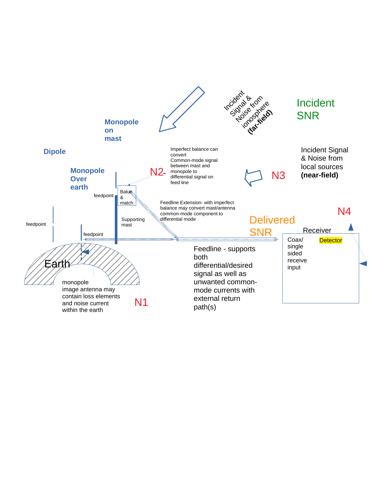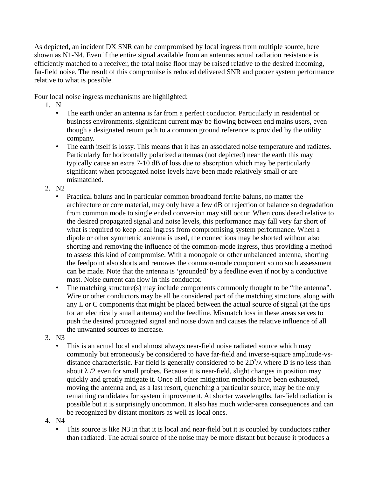As depicted, an incident DX SNR can be compromised by local ingress from multiple source, here shown as N1-N4. Even if the entire signal available from an antennas actual radiation resistance is efficiently matched to a receiver, the total noise floor may be raised relative to the desired incoming, far-field noise. The result of this compromise is reduced delivered SNR and poorer system performance relative to what is possible.

Four local noise ingress mechanisms are highlighted:

- 1. N1
	- The earth under an antenna is far from a perfect conductor. Particularly in residential or business environments, significant current may be flowing between end mains users, even though a designated return path to a common ground reference is provided by the utility company.
	- The earth itself is lossy. This means that it has an associated noise temperature and radiates. Particularly for horizontally polarized antennas (not depicted) near the earth this may typically cause an extra 7-10 dB of loss due to absorption which may be particularly significant when propagated noise levels have been made relatively small or are mismatched.
- 2. N2
	- Practical baluns and in particular common broadband ferrite baluns, no matter the architecture or core material, may only have a few dB of rejection of balance so degradation from common mode to single ended conversion may still occur. When considered relative to the desired propagated signal and noise levels, this performance may fall very far short of what is required to keep local ingress from compromising system performance. When a dipole or other symmetric antenna is used, the connections may be shorted without also shorting and removing the influence of the common-mode ingress, thus providing a method to assess this kind of compromise. With a monopole or other unbalanced antenna, shorting the feedpoint also shorts and removes the common-mode component so no such assessment can be made. Note that the antenna is 'grounded' by a feedline even if not by a conductive mast. Noise current can flow in this conductor.
	- The matching structure(s) may include components commonly thought to be "the antenna". Wire or other conductors may be all be considered part of the matching structure, along with any L or C components that might be placed between the actual source of signal (at the tips for an electrically small antenna) and the feedline. Mismatch loss in these areas serves to push the desired propagated signal and noise down and causes the relative influence of all the unwanted sources to increase.
- 3. N3
	- This is an actual local and almost always near-field noise radiated source which may commonly but erroneously be considered to have far-field and inverse-square amplitude-vsdistance characteristic. Far field is generally considered to be  $2D^2/\lambda$  where D is no less than about  $\lambda$  /2 even for small probes. Because it is near-field, slight changes in position may quickly and greatly mitigate it. Once all other mitigation methods have been exhausted, moving the antenna and, as a last resort, quenching a particular source, may be the only remaining candidates for system improvement. At shorter wavelengths, far-field radiation is possible but it is surprisingly uncommon. It also has much wider-area consequences and can be recognized by distant monitors as well as local ones.
- 4. N4
	- This source is like N3 in that it is local and near-field but it is coupled by conductors rather than radiated. The actual source of the noise may be more distant but because it produces a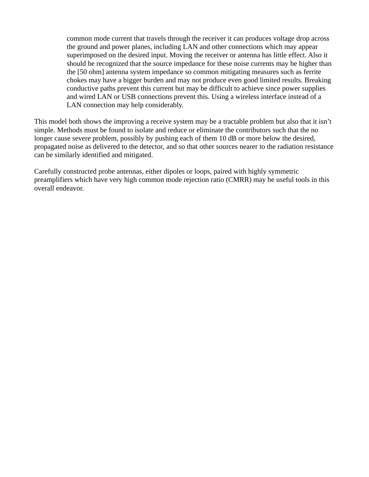common mode current that travels through the receiver it can produces voltage drop across the ground and power planes, including LAN and other connections which may appear superimposed on the desired input. Moving the receiver or antenna has little effect. Also it should be recognized that the source impedance for these noise currents may be higher than the [50 ohm] antenna system impedance so common mitigating measures such as ferrite chokes may have a bigger burden and may not produce even good limited results. Breaking conductive paths prevent this current but may be difficult to achieve since power supplies and wired LAN or USB connections prevent this. Using a wireless interface instead of a LAN connection may help considerably.

This model both shows the improving a receive system may be a tractable problem but also that it isn't simple. Methods must be found to isolate and reduce or eliminate the contributors such that the no longer cause severe problem, possibly by pushing each of them 10 dB or more below the desired, propagated noise as delivered to the detector, and so that other sources nearer to the radiation resistance can be similarly identified and mitigated.

Carefully constructed probe antennas, either dipoles or loops, paired with highly symmetric preamplifiers which have very high common mode rejection ratio (CMRR) may be useful tools in this overall endeavor.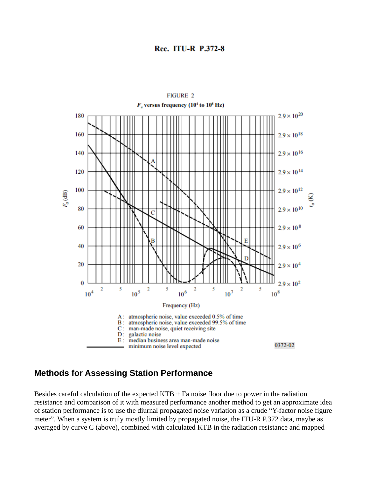#### **Rec. ITU-R P.372-8**



### **Methods for Assessing Station Performance**

Besides careful calculation of the expected KTB  $+$  Fa noise floor due to power in the radiation resistance and comparison of it with measured performance another method to get an approximate idea of station performance is to use the diurnal propagated noise variation as a crude "Y-factor noise figure meter". When a system is truly mostly limited by propagated noise, the ITU-R P.372 data, maybe as averaged by curve C (above), combined with calculated KTB in the radiation resistance and mapped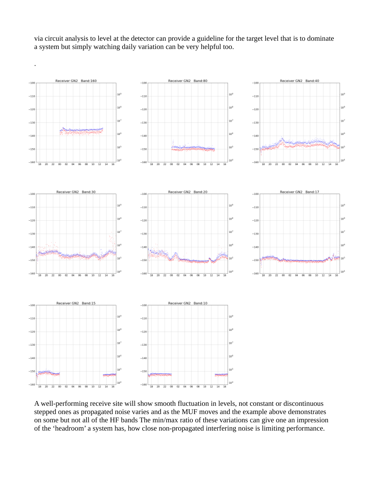via circuit analysis to level at the detector can provide a guideline for the target level that is to dominate a system but simply watching daily variation can be very helpful too.



A well-performing receive site will show smooth fluctuation in levels, not constant or discontinuous stepped ones as propagated noise varies and as the MUF moves and the example above demonstrates on some but not all of the HF bands The min/max ratio of these variations can give one an impression of the 'headroom' a system has, how close non-propagated interfering noise is limiting performance.